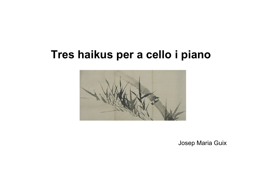## **Tres haikus per a cello i piano**



Josep Maria Guix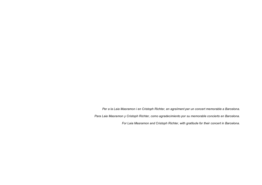*Per a la Laia Masramon i en Cristoph Richter, en agraïment per un concert memorable a Barcelona. Para Laia Masramon y Cristoph Richter, como agradecimiento por su memorable concierto en Barcelona. For Laia Masramon and Cristoph Richter, with gratitude for their concert in Barcelona.*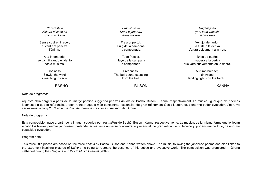*Nozarashi o Kokoro ni kaze no Shimu mi kana*

Sense sostre ni recer, el vent em penetra l'ànima.

A la intemperie, se va infiltrando el viento hasta mi alma.

Coolness: Slowly, the wind is reaching my soul.

*Suzushisa ia Kane o janaruru Kane no koe*

Frescor pertot. Fuig de la campana la campanada.

Todo frescor. Huye de la campana la campanada.

Freshness. The bell sound escaping from the bell.

BASHÒ BUSON BUSON RANNA

*Nagaregi no yoru kata yasashi aki no kaze*

Ventijol de tardor: la fusta a la deriva s'atura dolçament a la riba.

Brisa de otoño: madera a la deriva que vara suavemente en la ribera.

Autumn breeze; driftwood landing lightly on the bank.

Nota de programa:

Aquesta obra sorgeix a partir de la imatge poètica suggerida per tres *haikus* de Bashô, Buson i Kanna, respectivament. La música, igual que els poemes japonesos a què fa referència, pretén recrear aquest món concentrat i essencial, de gran refinament tècnic i, sobretot, d'enorme poder evocador. L'obra va ser estrenada l'any 2009 en el *Festival de músiques religioses i del món* de Girona.

Nota de programa:

Esta composición nace a partir de la imagen sugerida por tres *haikus* de Bashô, Buson i Kanna, respectivamente. La música, de la misma forma que lo llevan a cabo los breves poemas japoneses, pretende recrear este universo concentrado y esencial, de gran refinamiento técnico y, por encima de todo, de enorme capacidad evocadora.

Program note:

This three little pieces are based on the three *haikus* by Bashô, Buson and Kanna written above. The music, following the japanese poems and also linked to the extremely inspiring pictures of *Ukiyo-e*, is trying to recreate the essence of this subtle and evocative world. The composition was premiered in Girona cathedral during the *Religious and World Music Festival* (2009).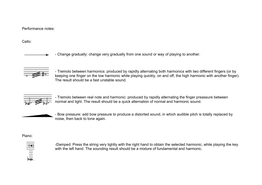Performance notes:

Cello:



- Change gradually: change very gradually from one sound or way of playing to another.



- Tremolo between harmonics: produced by rapidly alternating both harmonics with two different fingers (or by keeping one finger on the low harmonic while playing quickly, on and off, the high harmonic with another finger). The result should be a fast unstable sound.



- Tremolo between real note and harmonic: produced by rapidly alternating the finger preassure between normal and light. The result should be a quick alternation of normal and harmonic sound.



- Bow pressure: add bow pressure to produce a distorted sound, in which audible pitch is totally replaced by noise, then back to tone again.

## Piano:



-Damped: Press the string very lightly with the right hand to obtain the selected harmonic, while playing the key with the left hand. The sounding result should be a mixture of fundamental and harmonic.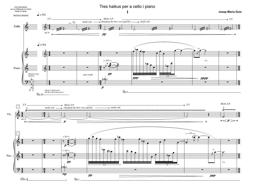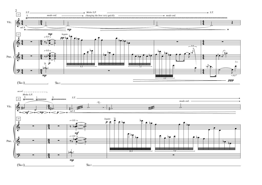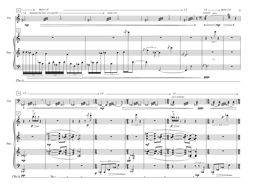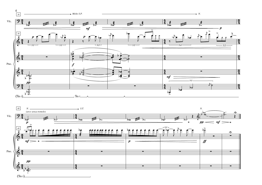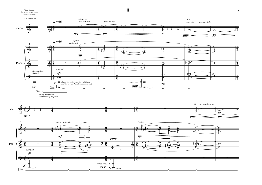Todo frescor. Huye de la campana la campanada.



 $\mathbf{II}$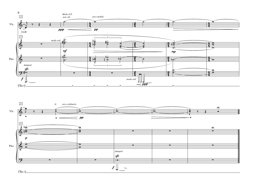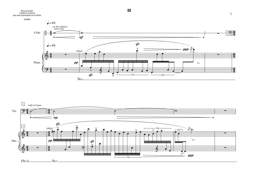



7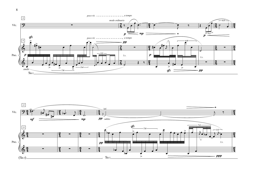



8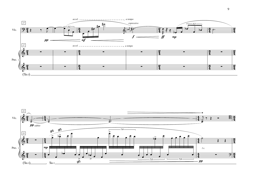